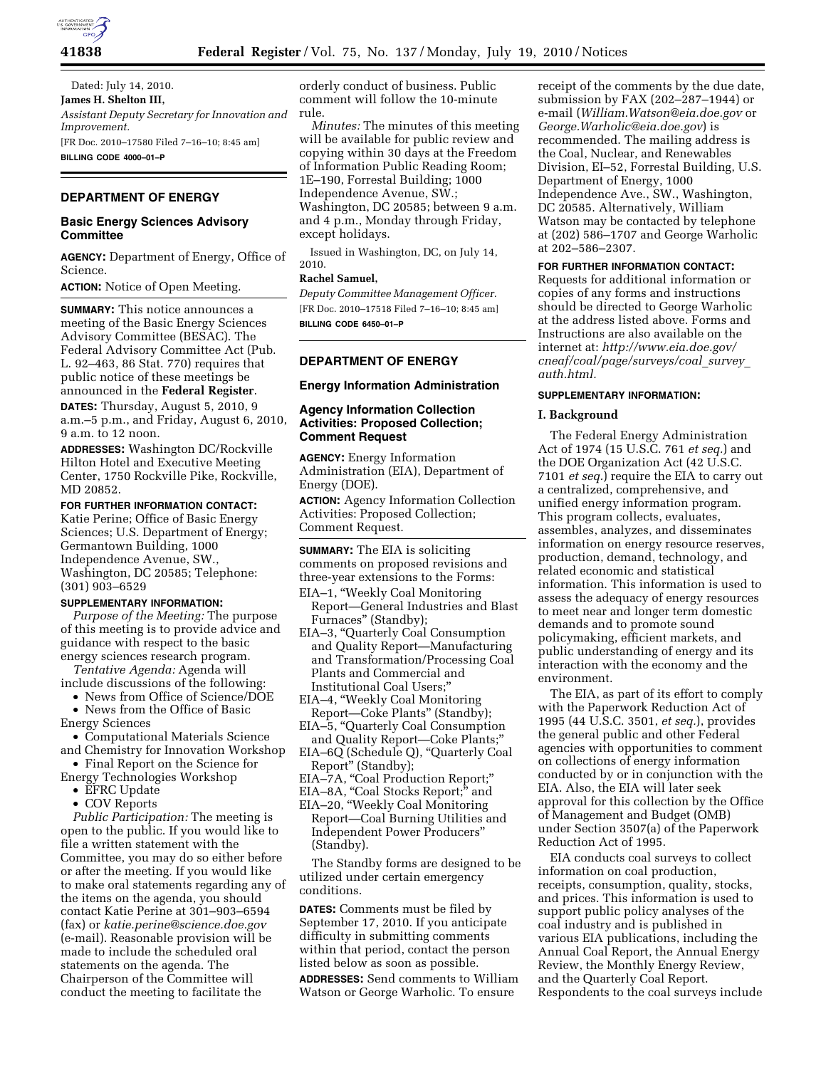

Dated: July 14, 2010. **James H. Shelton III,**  *Assistant Deputy Secretary for Innovation and Improvement.*  [FR Doc. 2010–17580 Filed 7–16–10; 8:45 am] **BILLING CODE 4000–01–P** 

# **DEPARTMENT OF ENERGY**

# **Basic Energy Sciences Advisory Committee**

**AGENCY:** Department of Energy, Office of Science.

**ACTION:** Notice of Open Meeting.

**SUMMARY:** This notice announces a meeting of the Basic Energy Sciences Advisory Committee (BESAC). The Federal Advisory Committee Act (Pub. L. 92–463, 86 Stat. 770) requires that public notice of these meetings be announced in the **Federal Register**.

**DATES:** Thursday, August 5, 2010, 9 a.m.–5 p.m., and Friday, August 6, 2010, 9 a.m. to 12 noon.

**ADDRESSES:** Washington DC/Rockville Hilton Hotel and Executive Meeting Center, 1750 Rockville Pike, Rockville, MD 20852.

### **FOR FURTHER INFORMATION CONTACT:**

Katie Perine; Office of Basic Energy Sciences; U.S. Department of Energy; Germantown Building, 1000 Independence Avenue, SW., Washington, DC 20585; Telephone: (301) 903–6529

#### **SUPPLEMENTARY INFORMATION:**

*Purpose of the Meeting:* The purpose of this meeting is to provide advice and guidance with respect to the basic energy sciences research program.

*Tentative Agenda:* Agenda will include discussions of the following:

• News from Office of Science/DOE

• News from the Office of Basic Energy Sciences

• Computational Materials Science and Chemistry for Innovation Workshop

- Final Report on the Science for Energy Technologies Workshop
	- EFRC Update
	- COV Reports

*Public Participation:* The meeting is open to the public. If you would like to file a written statement with the Committee, you may do so either before or after the meeting. If you would like to make oral statements regarding any of the items on the agenda, you should contact Katie Perine at 301–903–6594 (fax) or *katie.perine@science.doe.gov*  (e-mail). Reasonable provision will be made to include the scheduled oral statements on the agenda. The Chairperson of the Committee will conduct the meeting to facilitate the

orderly conduct of business. Public comment will follow the 10-minute rule.

*Minutes:* The minutes of this meeting will be available for public review and copying within 30 days at the Freedom of Information Public Reading Room; 1E–190, Forrestal Building; 1000 Independence Avenue, SW.; Washington, DC 20585; between 9 a.m. and 4 p.m., Monday through Friday, except holidays.

Issued in Washington, DC, on July 14, 2010.

## **Rachel Samuel,**

*Deputy Committee Management Officer.*  [FR Doc. 2010–17518 Filed 7–16–10; 8:45 am] **BILLING CODE 6450–01–P** 

# **DEPARTMENT OF ENERGY**

## **Energy Information Administration**

# **Agency Information Collection Activities: Proposed Collection; Comment Request**

**AGENCY:** Energy Information Administration (EIA), Department of Energy (DOE).

**ACTION:** Agency Information Collection Activities: Proposed Collection; Comment Request.

**SUMMARY:** The EIA is soliciting comments on proposed revisions and three-year extensions to the Forms:

- EIA–1, ''Weekly Coal Monitoring Report—General Industries and Blast Furnaces'' (Standby);
- EIA–3, ''Quarterly Coal Consumption and Quality Report—Manufacturing and Transformation/Processing Coal Plants and Commercial and Institutional Coal Users;''
- EIA–4, ''Weekly Coal Monitoring Report—Coke Plants'' (Standby);
- EIA–5, ''Quarterly Coal Consumption
- and Quality Report—Coke Plants;'' EIA–6Q (Schedule Q), ''Quarterly Coal
- Report'' (Standby);
- EIA-7A, "Coal Production Report;"
- EIA–8A, "Coal Stocks Report;" and
- EIA–20, ''Weekly Coal Monitoring Report—Coal Burning Utilities and Independent Power Producers'' (Standby).

The Standby forms are designed to be utilized under certain emergency conditions.

**DATES:** Comments must be filed by September 17, 2010. If you anticipate difficulty in submitting comments within that period, contact the person listed below as soon as possible.

**ADDRESSES:** Send comments to William Watson or George Warholic. To ensure

receipt of the comments by the due date, submission by FAX (202–287–1944) or e-mail (*William.Watson@eia.doe.gov* or *George.Warholic@eia.doe.gov*) is recommended. The mailing address is the Coal, Nuclear, and Renewables Division, EI–52, Forrestal Building, U.S. Department of Energy, 1000 Independence Ave., SW., Washington, DC 20585. Alternatively, William Watson may be contacted by telephone at (202) 586–1707 and George Warholic at 202–586–2307.

### **FOR FURTHER INFORMATION CONTACT:**

Requests for additional information or copies of any forms and instructions should be directed to George Warholic at the address listed above. Forms and Instructions are also available on the internet at: *http://www.eia.doe.gov/ cneaf/coal/page/surveys/coal*\_*survey*\_ *auth.html.* 

### **SUPPLEMENTARY INFORMATION:**

#### **I. Background**

The Federal Energy Administration Act of 1974 (15 U.S.C. 761 *et seq.*) and the DOE Organization Act (42 U.S.C. 7101 *et seq.*) require the EIA to carry out a centralized, comprehensive, and unified energy information program. This program collects, evaluates, assembles, analyzes, and disseminates information on energy resource reserves, production, demand, technology, and related economic and statistical information. This information is used to assess the adequacy of energy resources to meet near and longer term domestic demands and to promote sound policymaking, efficient markets, and public understanding of energy and its interaction with the economy and the environment.

The EIA, as part of its effort to comply with the Paperwork Reduction Act of 1995 (44 U.S.C. 3501, *et seq.*), provides the general public and other Federal agencies with opportunities to comment on collections of energy information conducted by or in conjunction with the EIA. Also, the EIA will later seek approval for this collection by the Office of Management and Budget (OMB) under Section 3507(a) of the Paperwork Reduction Act of 1995.

EIA conducts coal surveys to collect information on coal production, receipts, consumption, quality, stocks, and prices. This information is used to support public policy analyses of the coal industry and is published in various EIA publications, including the Annual Coal Report, the Annual Energy Review, the Monthly Energy Review, and the Quarterly Coal Report. Respondents to the coal surveys include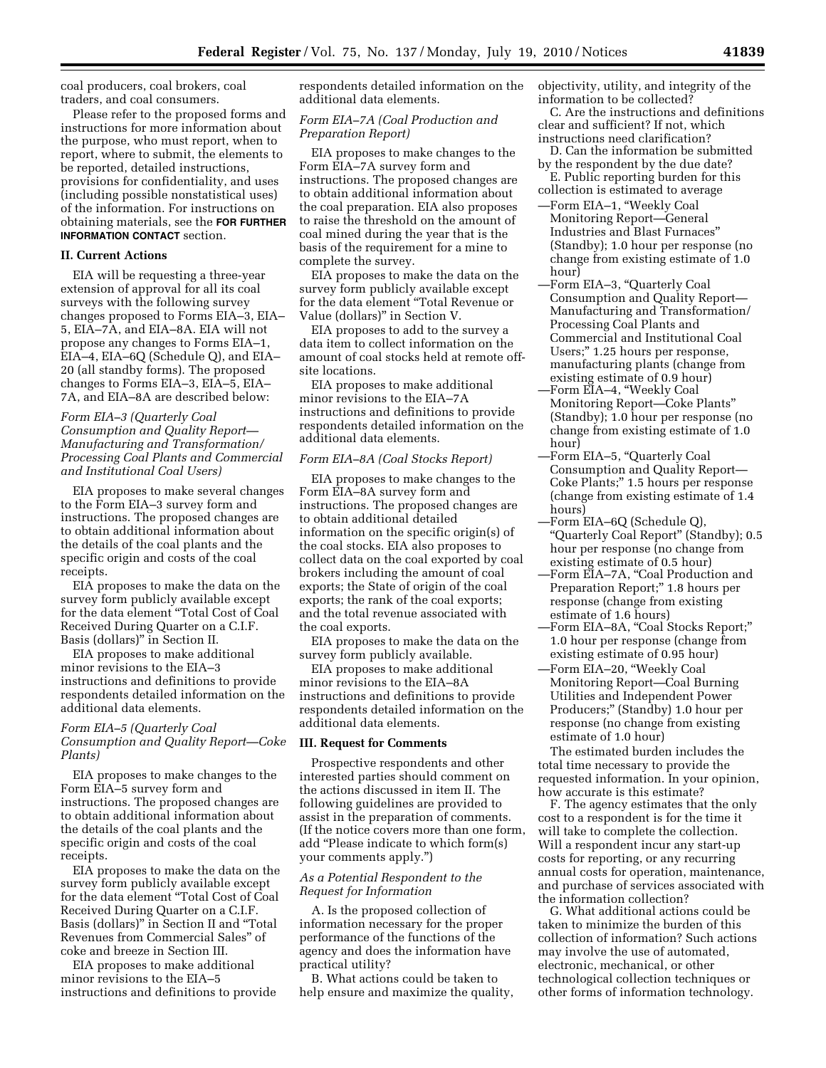coal producers, coal brokers, coal traders, and coal consumers.

Please refer to the proposed forms and instructions for more information about the purpose, who must report, when to report, where to submit, the elements to be reported, detailed instructions, provisions for confidentiality, and uses (including possible nonstatistical uses) of the information. For instructions on obtaining materials, see the **FOR FURTHER INFORMATION CONTACT** section.

### **II. Current Actions**

EIA will be requesting a three-year extension of approval for all its coal surveys with the following survey changes proposed to Forms EIA–3, EIA– 5, EIA–7A, and EIA–8A. EIA will not propose any changes to Forms EIA–1, EIA–4, EIA–6Q (Schedule Q), and EIA– 20 (all standby forms). The proposed changes to Forms EIA–3, EIA–5, EIA– 7A, and EIA–8A are described below:

## *Form EIA–3 (Quarterly Coal Consumption and Quality Report— Manufacturing and Transformation/ Processing Coal Plants and Commercial and Institutional Coal Users)*

EIA proposes to make several changes to the Form EIA–3 survey form and instructions. The proposed changes are to obtain additional information about the details of the coal plants and the specific origin and costs of the coal receipts.

EIA proposes to make the data on the survey form publicly available except for the data element ''Total Cost of Coal Received During Quarter on a C.I.F. Basis (dollars)'' in Section II.

EIA proposes to make additional minor revisions to the EIA–3 instructions and definitions to provide respondents detailed information on the additional data elements.

## *Form EIA–5 (Quarterly Coal Consumption and Quality Report—Coke Plants)*

EIA proposes to make changes to the Form EIA–5 survey form and instructions. The proposed changes are to obtain additional information about the details of the coal plants and the specific origin and costs of the coal receipts.

EIA proposes to make the data on the survey form publicly available except for the data element ''Total Cost of Coal Received During Quarter on a C.I.F. Basis (dollars)'' in Section II and ''Total Revenues from Commercial Sales'' of coke and breeze in Section III.

EIA proposes to make additional minor revisions to the EIA–5 instructions and definitions to provide respondents detailed information on the additional data elements.

## *Form EIA–7A (Coal Production and Preparation Report)*

EIA proposes to make changes to the Form EIA–7A survey form and instructions. The proposed changes are to obtain additional information about the coal preparation. EIA also proposes to raise the threshold on the amount of coal mined during the year that is the basis of the requirement for a mine to complete the survey.

EIA proposes to make the data on the survey form publicly available except for the data element ''Total Revenue or Value (dollars)'' in Section V.

EIA proposes to add to the survey a data item to collect information on the amount of coal stocks held at remote offsite locations.

EIA proposes to make additional minor revisions to the EIA–7A instructions and definitions to provide respondents detailed information on the additional data elements.

### *Form EIA–8A (Coal Stocks Report)*

EIA proposes to make changes to the Form EIA–8A survey form and instructions. The proposed changes are to obtain additional detailed information on the specific origin(s) of the coal stocks. EIA also proposes to collect data on the coal exported by coal brokers including the amount of coal exports; the State of origin of the coal exports; the rank of the coal exports; and the total revenue associated with the coal exports.

EIA proposes to make the data on the survey form publicly available.

EIA proposes to make additional minor revisions to the EIA–8A instructions and definitions to provide respondents detailed information on the additional data elements.

### **III. Request for Comments**

Prospective respondents and other interested parties should comment on the actions discussed in item II. The following guidelines are provided to assist in the preparation of comments. (If the notice covers more than one form, add ''Please indicate to which form(s) your comments apply.'')

### *As a Potential Respondent to the Request for Information*

A. Is the proposed collection of information necessary for the proper performance of the functions of the agency and does the information have practical utility?

B. What actions could be taken to help ensure and maximize the quality, objectivity, utility, and integrity of the information to be collected?

C. Are the instructions and definitions clear and sufficient? If not, which instructions need clarification?

- D. Can the information be submitted by the respondent by the due date?
- E. Public reporting burden for this collection is estimated to average
- —Form EIA–1, ''Weekly Coal Monitoring Report—General Industries and Blast Furnaces'' (Standby); 1.0 hour per response (no change from existing estimate of 1.0 hour)
- —Form EIA–3, ''Quarterly Coal Consumption and Quality Report— Manufacturing and Transformation/ Processing Coal Plants and Commercial and Institutional Coal Users;'' 1.25 hours per response, manufacturing plants (change from existing estimate of 0.9 hour)
- —Form EIA–4, ''Weekly Coal Monitoring Report—Coke Plants'' (Standby); 1.0 hour per response (no change from existing estimate of 1.0 hour)
- —Form EIA–5, ''Quarterly Coal Consumption and Quality Report— Coke Plants;'' 1.5 hours per response (change from existing estimate of 1.4 hours)
- —Form EIA–6Q (Schedule Q), ''Quarterly Coal Report'' (Standby); 0.5 hour per response (no change from existing estimate of 0.5 hour)
- —Form EIA–7A, ''Coal Production and Preparation Report;" 1.8 hours per response (change from existing estimate of 1.6 hours)
- —Form EIA–8A, ''Coal Stocks Report;'' 1.0 hour per response (change from existing estimate of 0.95 hour) —Form EIA–20, ''Weekly Coal
- Monitoring Report—Coal Burning Utilities and Independent Power Producers;'' (Standby) 1.0 hour per response (no change from existing estimate of 1.0 hour)

The estimated burden includes the total time necessary to provide the requested information. In your opinion, how accurate is this estimate?

F. The agency estimates that the only cost to a respondent is for the time it will take to complete the collection. Will a respondent incur any start-up costs for reporting, or any recurring annual costs for operation, maintenance, and purchase of services associated with the information collection?

G. What additional actions could be taken to minimize the burden of this collection of information? Such actions may involve the use of automated, electronic, mechanical, or other technological collection techniques or other forms of information technology.